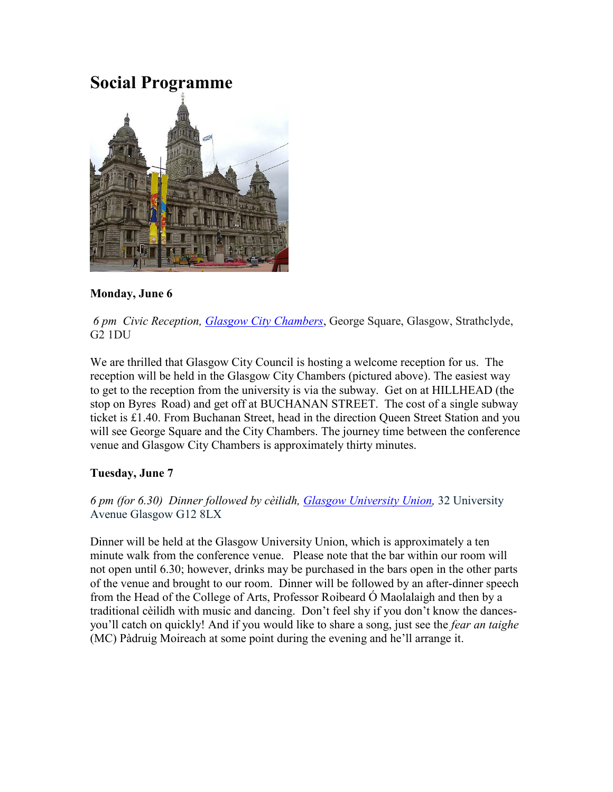# **Social Programme**



# **Monday, June 6**

*6 pm Civic Reception, [Glasgow City Chambers](https://www.visitscotland.com/info/see-do/glasgow-city-chambers-p246401)*, George Square, Glasgow, Strathclyde, G2 1DU

We are thrilled that Glasgow City Council is hosting a welcome reception for us. The reception will be held in the Glasgow City Chambers (pictured above). The easiest way to get to the reception from the university is via the subway. Get on at HILLHEAD (the stop on Byres Road) and get off at BUCHANAN STREET. The cost of a single subway ticket is £1.40. From Buchanan Street, head in the direction Queen Street Station and you will see George Square and the City Chambers. The journey time between the conference venue and Glasgow City Chambers is approximately thirty minutes.

## **Tuesday, June 7**

# *6 pm (for 6.30) Dinner followed by cèilidh, [Glasgow University Union,](http://www.guu.co.uk/)* 32 University Avenue Glasgow G12 8LX

Dinner will be held at the Glasgow University Union, which is approximately a ten minute walk from the conference venue. Please note that the bar within our room will not open until 6.30; however, drinks may be purchased in the bars open in the other parts of the venue and brought to our room. Dinner will be followed by an after-dinner speech from the Head of the College of Arts, Professor Roibeard Ó Maolalaigh and then by a traditional cèilidh with music and dancing. Don't feel shy if you don't know the dancesyou'll catch on quickly! And if you would like to share a song, just see the *fear an taighe* (MC) Pàdruig Moireach at some point during the evening and he'll arrange it.